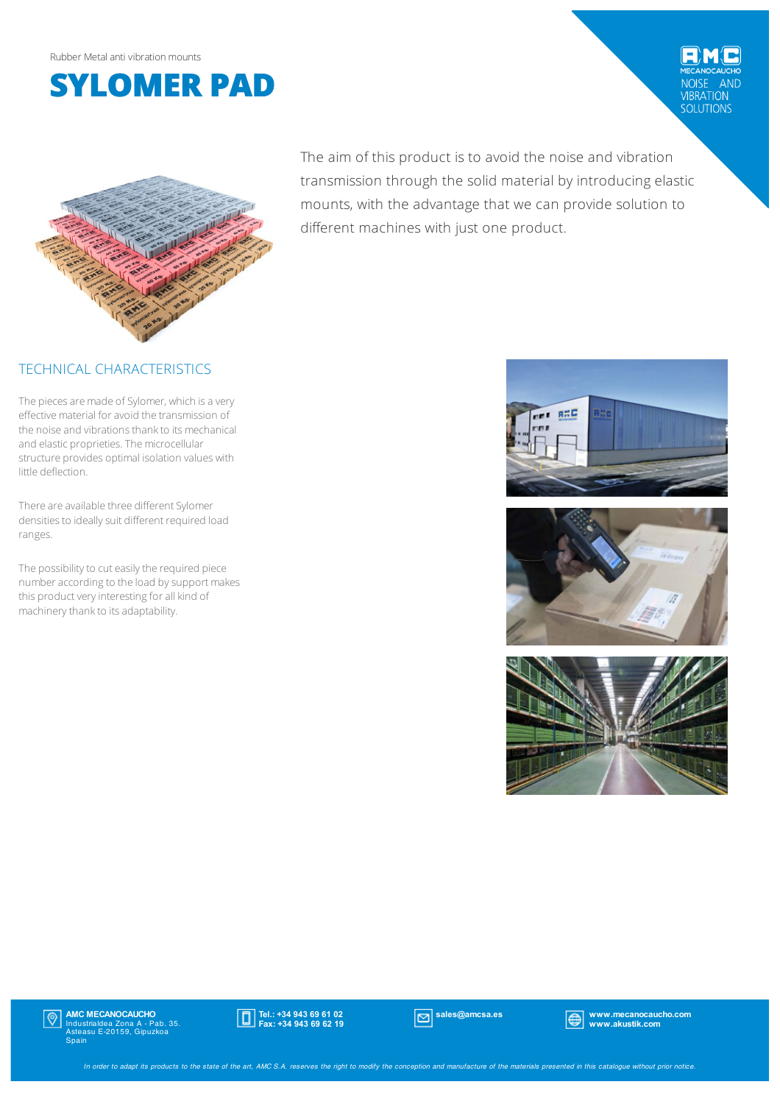

NOISE AND<br>VIBRATION<br>SOLUTIONS



#### TECHNICAL CHARACTERISTICS

The pieces are made of Sylomer, which is a very effective material for avoid the transmission of the noise and vibrations thank to its mechanical and elastic proprieties. The microcellular structure provides optimal isolation values with little deflection.

There are available three different Sylomer densities to ideally suit different required load ranges.

The possibility to cut easily the required piece number according to the load by support makes this product very interesting for all kind of machinery thank to its adaptability.

The aim of this product is to avoid the noise and vibration transmission through the solid material by introducing elastic mounts, with the advantage that we can provide solution to different machines with just one product.







# $|\mathbb{Q}|$

**AMC MECANOCAUCHO**<br>Industrialdea Zona A - Pab. 35.<br>Asteasu E-20159, Gipuzkoa<br>Spain



sales@amcsa.es www.mecanocaucho.com www.akustik.com

In order to adapt its products to the state of the art, AMC S.A. reserves the right to modify the conception and manufacture of the materials presented in this catalogue without prior notice.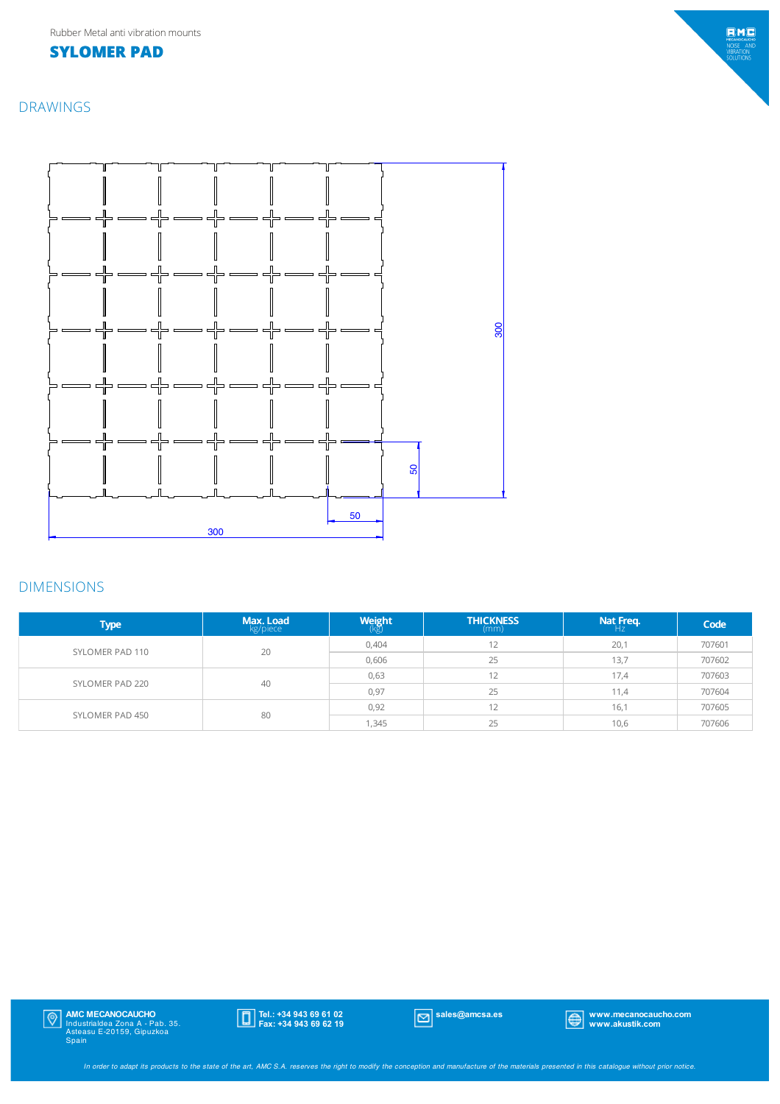## **SYLOMER PAD**

DRAWINGS



### DIMENSIONS

| <b>Type</b>     | Max. Load<br>kg/piece | $W$ eight | <b>THICKNESS</b><br>(mm) | Nat Freq.<br>$H_Z$ | Code   |
|-----------------|-----------------------|-----------|--------------------------|--------------------|--------|
| SYLOMER PAD 110 | 20                    | 0,404     | 12                       | 20,1               | 707601 |
|                 |                       | 0,606     | 25                       | 13,7               | 707602 |
| SYLOMER PAD 220 | 40                    | 0,63      | 12                       | 17,4               | 707603 |
|                 |                       | 0,97      | 25                       | 11,4               | 707604 |
| SYLOMER PAD 450 | 80                    | 0,92      | 12                       | 16,1               | 707605 |
|                 |                       | 1,345     | 25                       | 10,6               | 707606 |

**AMC MECANOCAUCHO**<br>Industrialdea Zona A - Pab. 35.<br>Asteasu E-20159, Gipuzkoa<br>Spain